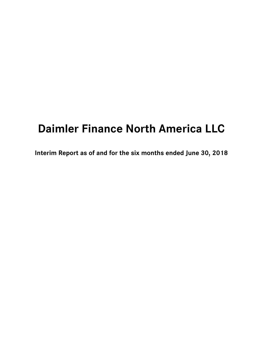# **Daimler Finance North America LLC**

**Interim Report as of and for the six months ended June 30, 2018**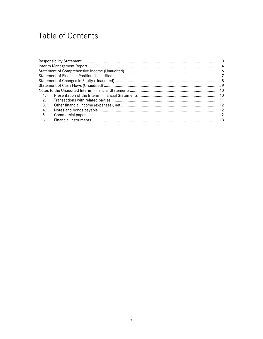# Table of Contents

| 2. |  |
|----|--|
| 3. |  |
| 4. |  |
| 5. |  |
| 6. |  |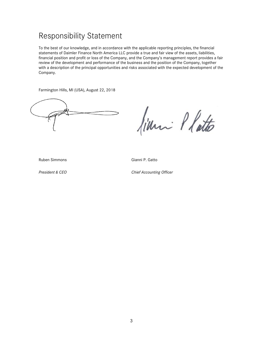### <span id="page-2-0"></span>Responsibility Statement

To the best of our knowledge, and in accordance with the applicable reporting principles, the financial statements of Daimler Finance North America LLC provide a true and fair view of the assets, liabilities, financial position and profit or loss of the Company, and the Company's management report provides a fair review of the development and performance of the business and the position of the Company, together with a description of the principal opportunities and risks associated with the expected development of the Company.

Farmington Hills, MI (USA), August 22, 2018

film Platto

Ruben Simmons Gianni P. Gatto

*President & CEO Chief Accounting Officer*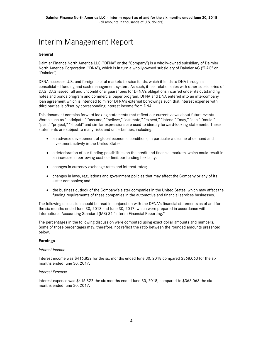# <span id="page-3-0"></span>Interim Management Report

#### **General**

Daimler Finance North America LLC ("DFNA" or the "Company") is a wholly-owned subsidiary of Daimler North America Corporation ("DNA"), which is in turn a wholly-owned subsidiary of Daimler AG ("DAG" or "Daimler").

DFNA accesses U.S. and foreign capital markets to raise funds, which it lends to DNA through a consolidated funding and cash management system. As such, it has relationships with other subsidiaries of DAG. DAG issued full and unconditional guarantees for DFNA's obligations incurred under its outstanding notes and bonds program and commercial paper program. DFNA and DNA entered into an intercompany loan agreement which is intended to mirror DFNA's external borrowings such that interest expense with third parties is offset by corresponding interest income from DNA.

This document contains forward looking statements that reflect our current views about future events. Words such as "anticipate," "assume," "believe," "estimate," "expect," "intend," "may," "can," "could," "plan," "project," "should" and similar expressions are used to identify forward-looking statements. These statements are subject to many risks and uncertainties, including:

- an adverse development of global economic conditions, in particular a decline of demand and investment activity in the United States;
- a deterioration of our funding possibilities on the credit and financial markets, which could result in an increase in borrowing costs or limit our funding flexibility;
- changes in currency exchange rates and interest rates;
- changes in laws, regulations and government policies that may affect the Company or any of its sister companies; and
- the business outlook of the Company's sister companies in the United States, which may affect the funding requirements of these companies in the automotive and financial services businesses.

The following discussion should be read in conjunction with the DFNA's financial statements as of and for the six months ended June 30, 2018 and June 30, 2017, which were prepared in accordance with International Accounting Standard (IAS) 34 "Interim Financial Reporting."

The percentages in the following discussion were computed using exact dollar amounts and numbers. Some of those percentages may, therefore, not reflect the ratio between the rounded amounts presented below.

#### **Earnings**

#### *Interest Income*

Interest income was \$416,822 for the six months ended June 30, 2018 compared \$368,063 for the six months ended June 30, 2017.

#### *Interest Expense*

Interest expense was \$416,822 the six months ended June 30, 2018, compared to \$368,063 the six months ended June 30, 2017.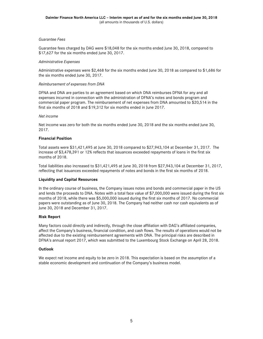#### *Guarantee Fees*

Guarantee fees charged by DAG were \$18,048 for the six months ended June 30, 2018, compared to \$17,627 for the six months ended June 30, 2017.

#### *Administrative Expenses*

Administrative expenses were \$2,468 for the six months ended June 30, 2018 as compared to \$1,686 for the six months ended June 30, 2017.

#### *Reimbursement of expenses from DNA*

DFNA and DNA are parties to an agreement based on which DNA reimburses DFNA for any and all expenses incurred in connection with the administration of DFNA's notes and bonds program and commercial paper program. The reimbursement of net expenses from DNA amounted to \$20,514 in the first six months of 2018 and \$19,312 for six months ended in June 2017.

#### *Net income*

Net income was zero for both the six months ended June 30, 2018 and the six months ended June 30, 2017.

#### **Financial Position**

Total assets were \$31,421,495 at June 30, 2018 compared to \$27,943,104 at December 31, 2017. The increase of \$3,478,391 or 12% reflects that issuances exceeded repayments of loans in the first six months of 2018.

Total liabilities also increased to \$31,421,495 at June 30, 2018 from \$27,943,104 at December 31, 2017, reflecting that issuances exceeded repayments of notes and bonds in the first six months of 2018.

#### **Liquidity and Capital Resources**

In the ordinary course of business, the Company issues notes and bonds and commercial paper in the US and lends the proceeds to DNA. Notes with a total face value of \$7,000,000 were issued during the first six months of 2018, while there was \$5,000,000 issued during the first six months of 2017. No commercial papers were outstanding as of June 30, 2018. The Company had neither cash nor cash equivalents as of June 30, 2018 and December 31, 2017.

#### **Risk Report**

Many factors could directly and indirectly, through the close affiliation with DAG's affiliated companies, affect the Company's business, financial condition, and cash flows. The results of operations would not be affected due to the existing reimbursement agreements with DNA. The principal risks are described in DFNA's annual report 2017, which was submitted to the Luxembourg Stock Exchange on April 28, 2018.

#### **Outlook**

We expect net income and equity to be zero in 2018. This expectation is based on the assumption of a stable economic development and continuation of the Company's business model.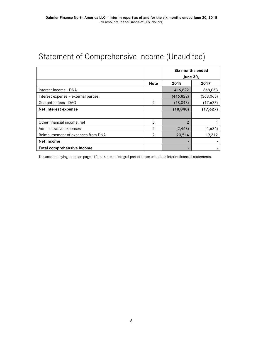# <span id="page-5-0"></span>Statement of Comprehensive Income (Unaudited)

|                                     |                | Six months ended<br><b>June 30,</b> |            |  |
|-------------------------------------|----------------|-------------------------------------|------------|--|
|                                     | <b>Note</b>    | 2018                                | 2017       |  |
| Interest income - DNA               |                | 416,822                             | 368,063    |  |
| Interest expense - external parties |                | (416, 822)                          | (368, 063) |  |
| Guarantee fees - DAG                | $\mathfrak{p}$ | (18, 048)<br>(17,627)               |            |  |
| Net interest expense                |                | (18, 048)                           | (17, 627)  |  |
|                                     |                |                                     |            |  |
| Other financial income, net         | 3              | $\mathcal{P}$                       |            |  |
| Administrative expenses             | 2              | (2, 468)                            | (1,686)    |  |
| Reimbursement of expenses from DNA  | $\mathcal{P}$  | 20,514                              | 19,312     |  |
| Net income                          |                |                                     |            |  |
| Total comprehensive income          |                | -                                   |            |  |

The accompanying notes on pages 10 to14 are an integral part of these unaudited interim financial statements.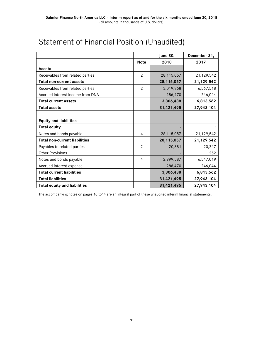|                                      |                | June 30,     | December 31, |
|--------------------------------------|----------------|--------------|--------------|
|                                      | <b>Note</b>    | 2018         | 2017         |
| <b>Assets</b>                        |                |              |              |
| Receivables from related parties     | $\overline{2}$ | 28,115,057   | 21,129,542   |
| <b>Total non-current assets</b>      |                | 28, 115, 057 | 21,129,542   |
| Receivables from related parties     | $\overline{2}$ | 3,019,968    | 6,567,518    |
| Accrued interest income from DNA     |                | 286,470      | 246,044      |
| <b>Total current assets</b>          |                | 3,306,438    | 6,813,562    |
| <b>Total assets</b>                  |                | 31,421,495   | 27,943,104   |
|                                      |                |              |              |
| <b>Equity and liabilities</b>        |                |              |              |
| <b>Total equity</b>                  |                |              |              |
| Notes and bonds payable              | 4              | 28,115,057   | 21,129,542   |
| <b>Total non-current liabilities</b> |                | 28, 115, 057 | 21,129,542   |
| Payables to related parties          | $\overline{2}$ | 20,381       | 20,247       |
| <b>Other Provisions</b>              |                |              | 252          |
| Notes and bonds payable              | 4              | 2,999,587    | 6,547,019    |
| Accrued interest expense             |                | 286,470      | 246,044      |
| <b>Total current liabilities</b>     |                | 3,306,438    | 6,813,562    |
| <b>Total liabilities</b>             |                | 31,421,495   | 27,943,104   |
| <b>Total equity and liabilities</b>  |                | 31,421,495   | 27,943,104   |

# <span id="page-6-0"></span>Statement of Financial Position (Unaudited)

The accompanying notes on pages 10 to14 are an integral part of these unaudited interim financial statements.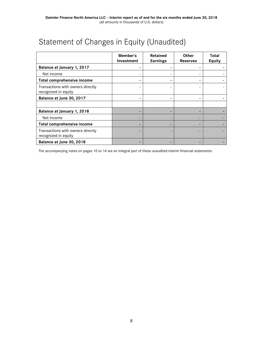<span id="page-7-0"></span>

| Statement of Changes in Equity (Unaudited) |  |  |
|--------------------------------------------|--|--|
|--------------------------------------------|--|--|

|                                                           | Member's<br>Investment | Retained<br><b>Earnings</b> | <b>Other</b><br><b>Reserves</b> | Total<br><b>Equity</b> |
|-----------------------------------------------------------|------------------------|-----------------------------|---------------------------------|------------------------|
| Balance at January 1, 2017                                |                        |                             |                                 |                        |
| Net income                                                |                        |                             |                                 |                        |
| Total comprehensive income                                |                        |                             |                                 |                        |
| Transactions with owners directly<br>recognized in equity |                        |                             |                                 |                        |
| Balance at June 30, 2017                                  |                        |                             |                                 |                        |
|                                                           |                        |                             |                                 |                        |
| Balance at January 1, 2018                                |                        |                             |                                 |                        |
| Net income                                                |                        |                             | $\qquad \qquad \blacksquare$    |                        |
| Total comprehensive income                                |                        |                             |                                 |                        |
| Transactions with owners directly<br>recognized in equity |                        |                             |                                 |                        |
| Balance at June 30, 2018                                  |                        |                             |                                 |                        |

The accompanying notes on pages 10 to 14 are an integral part of these unaudited interim financial statements.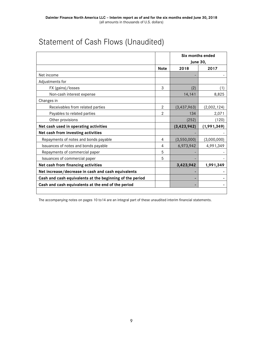|                                       |                | Six months ended |             |
|---------------------------------------|----------------|------------------|-------------|
|                                       |                | <b>June 30,</b>  |             |
|                                       | <b>Note</b>    | 2018             | 2017        |
| Net income                            |                |                  |             |
| Adjustments for                       |                |                  |             |
| FX (gains)/losses                     | 3              | (2)              | (1)         |
| Non-cash interest expense             |                | 14,141           | 8,825       |
| Changes in                            |                |                  |             |
| Receivables from related parties      | $\overline{2}$ | (3, 437, 963)    | (2,002,124) |
| Payables to related parties           | $\mathbf{2}$   | 134              | 2,071       |
| Other provisions                      |                | (252)            | (120)       |
| Net cash used in operating activities |                | (3, 423, 942)    | (1,991,349) |
| Net cash from investing activities    |                |                  |             |
| Repayments of notes and bonds payable | 4              | (3,550,000)      | (3,000,000) |
| Issuances of notes and bonds payable  | 4              | 6,973,942        | 4,991,349   |
| Repayments of commercial paper        | 5              |                  |             |
| Issuances of commercial paper         | 5              |                  | ٠           |

# <span id="page-8-0"></span>Statement of Cash Flows (Unaudited)

The accompanying notes on pages 10 to14 are an integral part of these unaudited interim financial statements.

**Net cash from financing activities 1,991,349 1,991,349 Net increase/decrease in cash and cash equivalents - - Cash and cash equivalents at the beginning of the period - - Cash and cash equivalents at the end of the period - -**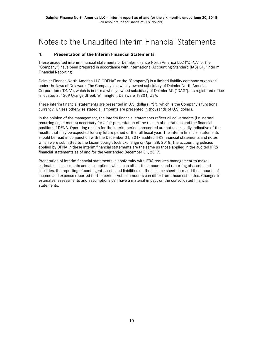## <span id="page-9-0"></span>Notes to the Unaudited Interim Financial Statements

### <span id="page-9-1"></span>**1. Presentation of the Interim Financial Statements**

These unaudited interim financial statements of Daimler Finance North America LLC ("DFNA" or the "Company") have been prepared in accordance with International Accounting Standard (IAS) 34, "Interim Financial Reporting".

Daimler Finance North America LLC ("DFNA" or the "Company") is a limited liability company organized under the laws of Delaware. The Company is a wholly-owned subsidiary of Daimler North America Corporation ("DNA"), which is in turn a wholly-owned subsidiary of Daimler AG ("DAG"). Its registered office is located at 1209 Orange Street, Wilmington, Delaware 19801, USA.

These interim financial statements are presented in U.S. dollars ("\$"), which is the Company's functional currency. Unless otherwise stated all amounts are presented in thousands of U.S. dollars.

In the opinion of the management, the interim financial statements reflect all adjustments (i.e. normal recurring adjustments) necessary for a fair presentation of the results of operations and the financial position of DFNA. Operating results for the interim periods presented are not necessarily indicative of the results that may be expected for any future period or the full fiscal year. The interim financial statements should be read in conjunction with the December 31, 2017 audited IFRS financial statements and notes which were submitted to the Luxembourg Stock Exchange on April 28, 2018. The accounting policies applied by DFNA in these interim financial statements are the same as those applied in the audited IFRS financial statements as of and for the year ended December 31, 2017.

Preparation of interim financial statements in conformity with IFRS requires management to make estimates, assessments and assumptions which can affect the amounts and reporting of assets and liabilities, the reporting of contingent assets and liabilities on the balance sheet date and the amounts of income and expense reported for the period. Actual amounts can differ from those estimates. Changes in estimates, assessments and assumptions can have a material impact on the consolidated financial statements.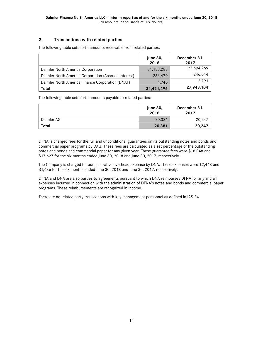### <span id="page-10-0"></span>**2. Transactions with related parties**

The following table sets forth amounts receivable from related parties:

|                                                      | <b>June 30,</b><br>2018 | December 31,<br>2017 |
|------------------------------------------------------|-------------------------|----------------------|
| Daimler North America Corporation                    | 31,133,285              | 27,694,269           |
| Daimler North America Corporation (Accrued Interest) | 286,470                 | 246,044              |
| Daimler North America Finance Corporation (DNAF)     | 1.740                   | 2,791                |
| Total                                                | 31,421,495              | 27,943,104           |

The following table sets forth amounts payable to related parties:

|            | <b>June 30,</b><br>2018 | December 31,<br>2017 |
|------------|-------------------------|----------------------|
| Daimler AG | 20,381                  | 20,247               |
| Total      | 20,381                  | 20,247               |

DFNA is charged fees for the full and unconditional guarantees on its outstanding notes and bonds and commercial paper programs by DAG. These fees are calculated as a set percentage of the outstanding notes and bonds and commercial paper for any given year. These guarantee fees were \$18,048 and \$17,627 for the six months ended June 30, 2018 and June 30, 2017, respectively.

The Company is charged for administrative overhead expense by DNA. These expenses were \$2,468 and \$1,686 for the six months ended June 30, 2018 and June 30, 2017, respectively.

DFNA and DNA are also parties to agreements pursuant to which DNA reimburses DFNA for any and all expenses incurred in connection with the administration of DFNA's notes and bonds and commercial paper programs. These reimbursements are recognized in income.

There are no related party transactions with key management personnel as defined in IAS 24.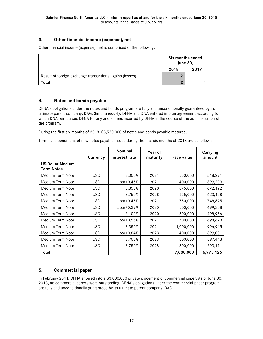### **3. Other financial income (expense), net**

Other financial income (expense), net is comprised of the following:

|                                                          | Six months ended<br><b>June 30,</b> |      |
|----------------------------------------------------------|-------------------------------------|------|
|                                                          | 2018                                | 2017 |
| Result of foreign exchange transactions - gains (losses) |                                     |      |
| Total                                                    |                                     |      |

#### **4. Notes and bonds payable**

DFNA's obligations under the notes and bonds program are fully and unconditionally guaranteed by its ultimate parent company, DAG. Simultaneously, DFNA and DNA entered into an agreement according to which DNA reimburses DFNA for any and all fees incurred by DFNA in the course of the administration of the program.

During the first six months of 2018, \$3,550,000 of notes and bonds payable matured.

Terms and conditions of new notes payable issued during the first six months of 2018 are as follows:

|                                              |            | <b>Nominal</b> | Year of  |                   | Carrying  |
|----------------------------------------------|------------|----------------|----------|-------------------|-----------|
|                                              | Currency   | interest rate  | maturity | <b>Face value</b> | amount    |
| <b>US-Dollar Medium</b><br><b>Term Notes</b> |            |                |          |                   |           |
| Medium Term Note                             | <b>USD</b> | 3.000%         | 2021     | 550,000           | 548,291   |
| Medium Term Note                             | <b>USD</b> | Libor+0.45%    | 2021     | 400,000           | 399,293   |
| Medium Term Note                             | <b>USD</b> | 3.350%         | 2023     | 675,000           | 672,192   |
| Medium Term Note                             | <b>USD</b> | 3.750%         | 2028     | 625,000           | 623,158   |
| Medium Term Note                             | <b>USD</b> | $Libor+0.45%$  | 2021     | 750,000           | 748,675   |
| Medium Term Note                             | <b>USD</b> | $Libor+0.39%$  | 2020     | 500,000           | 499,308   |
| Medium Term Note                             | <b>USD</b> | 3.100%         | 2020     | 500,000           | 498,956   |
| Medium Term Note                             | <b>USD</b> | $Libor+0.55%$  | 2021     | 700,000           | 698,673   |
| Medium Term Note                             | <b>USD</b> | 3.350%         | 2021     | 1,000,000         | 996,965   |
| Medium Term Note                             | <b>USD</b> | Libor+0.84%    | 2023     | 400,000           | 399,031   |
| Medium Term Note                             | <b>USD</b> | 3.700%         | 2023     | 600,000           | 597,413   |
| Medium Term Note                             | <b>USD</b> | 3.750%         | 2028     | 300,000           | 293,171   |
| Total                                        |            |                |          | 7,000,000         | 6,975,126 |

### **5. Commercial paper**

In February 2011, DFNA entered into a \$3,000,000 private placement of commercial paper. As of June 30, 2018, no commercial papers were outstanding. DFNA's obligations under the commercial paper program are fully and unconditionally guaranteed by its ultimate parent company, DAG.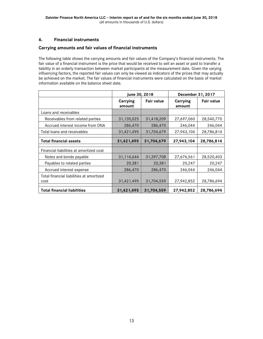### **6. Financial instruments**

### **Carrying amounts and fair values of financial instruments**

The following table shows the carrying amounts and fair values of the Company's financial instruments. The fair value of a financial instrument is the price that would be received to sell an asset or paid to transfer a liability in an orderly transaction between market participants at the measurement date. Given the varying influencing factors, the reported fair values can only be viewed as indicators of the prices that may actually be achieved on the market. The fair values of financial instruments were calculated on the basis of market information available on the balance sheet date.

|                                                  | June 30, 2018      |                   | December 31, 2017  |                   |  |
|--------------------------------------------------|--------------------|-------------------|--------------------|-------------------|--|
|                                                  | Carrying<br>amount | <b>Fair value</b> | Carrying<br>amount | <b>Fair value</b> |  |
| Loans and receivables                            |                    |                   |                    |                   |  |
| Receivables from related parties                 | 31,135,025         | 31,418,209        | 27,697,060         | 28,540,770        |  |
| Accrued interest income from DNA                 | 286,470            | 286,470           | 246,044            | 246,044           |  |
| Total loans and receivables                      | 31,421,495         | 31,704,679        | 27,943,104         | 28,786,814        |  |
| <b>Total financial assets</b>                    | 31,421,495         | 31,704,679        | 27,943,104         | 28,786,814        |  |
| Financial liabilities at amortized cost          |                    |                   |                    |                   |  |
| Notes and bonds payable                          | 31,114,644         | 31,397,708        | 27,676,561         | 28,520,403        |  |
| Payables to related parties                      | 20,381             | 20,381            | 20,247             | 20,247            |  |
| Accrued interest expense                         | 286,470            | 286,470           | 246,044            | 246,044           |  |
| Total financial liabilities at amortized<br>cost | 31,421,495         | 31,704,559        | 27,942,852         | 28,786,694        |  |
| <b>Total financial liabilities</b>               | 31,421,495         | 31,704,559        | 27,942,852         | 28,786,694        |  |